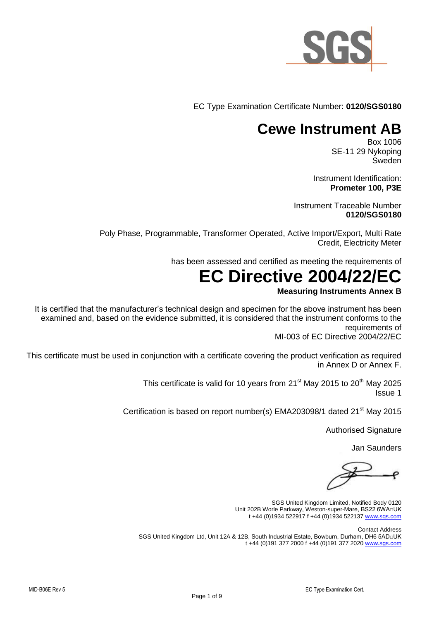

EC Type Examination Certificate Number: **0120/SGS0180**

### **Cewe Instrument AB**

Box 1006 SE-11 29 Nykoping Sweden

Instrument Identification: **Prometer 100, P3E** 

Instrument Traceable Number **0120/SGS0180**

Poly Phase, Programmable, Transformer Operated, Active Import/Export, Multi Rate Credit, Electricity Meter

has been assessed and certified as meeting the requirements of

# **EC Directive 2004/22/EC**

#### **Measuring Instruments Annex B**

It is certified that the manufacturer's technical design and specimen for the above instrument has been examined and, based on the evidence submitted, it is considered that the instrument conforms to the requirements of MI-003 of EC Directive 2004/22/EC

This certificate must be used in conjunction with a certificate covering the product verification as required in Annex D or Annex F.

> This certificate is valid for 10 years from  $21<sup>st</sup>$  May 2015 to  $20<sup>th</sup>$  May 2025 Issue 1

Certification is based on report number(s) EMA203098/1 dated 21<sup>st</sup> May 2015

Authorised Signature

Jan Saunders

SGS United Kingdom Limited, Notified Body 0120 Unit 202B Worle Parkway, Weston-super-Mare, BS22 6WA□UK t +44 (0)1934 522917 f +44 (0)1934 522137 [www.sgs.com](http://www.sgs.com/) 

Contact Address SGS United Kingdom Ltd, Unit 12A & 12B, South Industrial Estate, Bowburn, Durham, DH6 5AD□UK t +44 (0)191 377 2000 f +44 (0)191 377 2020 [www.sgs.com](http://www.sgs.com/)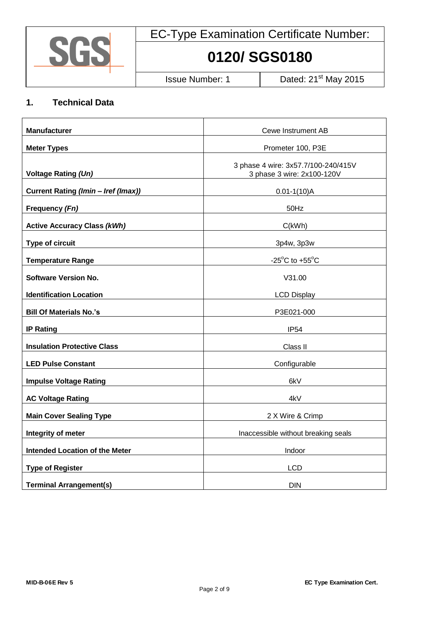

# **0120/ SGS0180**

Issue Number: 1 Dated: 21<sup>st</sup> May 2015

#### **1. Technical Data**

| <b>Manufacturer</b>                   | <b>Cewe Instrument AB</b>                                         |  |
|---------------------------------------|-------------------------------------------------------------------|--|
| <b>Meter Types</b>                    | Prometer 100, P3E                                                 |  |
| <b>Voltage Rating (Un)</b>            | 3 phase 4 wire: 3x57.7/100-240/415V<br>3 phase 3 wire: 2x100-120V |  |
| Current Rating (Imin - Iref (Imax))   | $0.01 - 1(10)$ A                                                  |  |
| Frequency (Fn)                        | 50Hz                                                              |  |
| <b>Active Accuracy Class (kWh)</b>    | C(kWh)                                                            |  |
| Type of circuit                       | 3p4w, 3p3w                                                        |  |
| <b>Temperature Range</b>              | -25 $\mathrm{^{\circ}C}$ to +55 $\mathrm{^{\circ}C}$              |  |
| <b>Software Version No.</b>           | V31.00                                                            |  |
| <b>Identification Location</b>        | <b>LCD Display</b>                                                |  |
| <b>Bill Of Materials No.'s</b>        | P3E021-000                                                        |  |
| <b>IP Rating</b>                      | IP <sub>54</sub>                                                  |  |
| <b>Insulation Protective Class</b>    | Class II                                                          |  |
| <b>LED Pulse Constant</b>             | Configurable                                                      |  |
| <b>Impulse Voltage Rating</b>         | 6kV                                                               |  |
| <b>AC Voltage Rating</b>              | 4kV                                                               |  |
| <b>Main Cover Sealing Type</b>        | 2 X Wire & Crimp                                                  |  |
| Integrity of meter                    | Inaccessible without breaking seals                               |  |
| <b>Intended Location of the Meter</b> | Indoor                                                            |  |
| <b>Type of Register</b>               | <b>LCD</b>                                                        |  |
| <b>Terminal Arrangement(s)</b>        | <b>DIN</b>                                                        |  |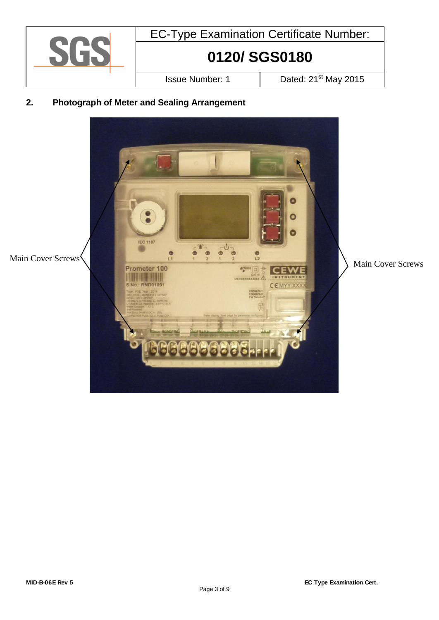

### **2. Photograph of Meter and Sealing Arrangement**

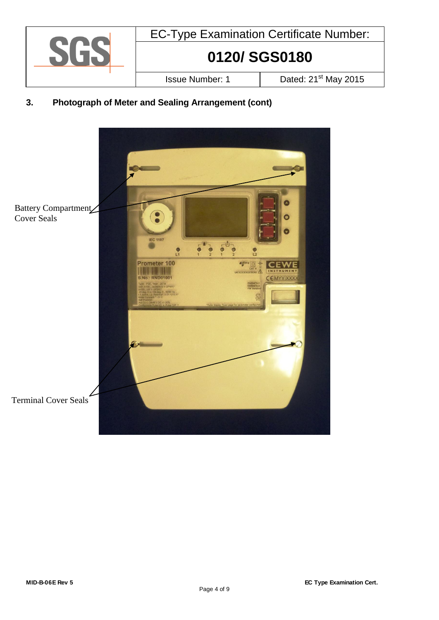

### **3. Photograph of Meter and Sealing Arrangement (cont)**

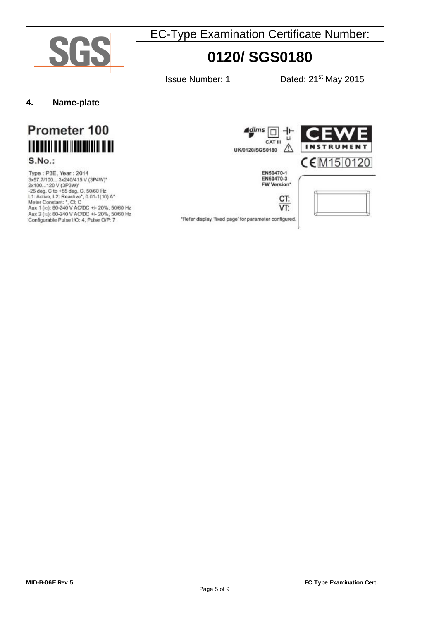

# **0120/ SGS0180**

Issue Number: 1 Dated: 21<sup>st</sup> May 2015

**4. Name-plate**



**S.No.:** 

Type: P3E, Year: 2014 Type : P3E, Year : 2014<br>
3x57.7/100... 3x240/415 V (3P4W)\*<br>
2x100...120 V (3P3W)\*<br>
-25 deg. C to +55 deg. C, 50/60 Hz<br>
L1: Active, L2: Reactive\*, 0.01-1(10) A\*<br>
Meter Constant: \*, Cl: C<br>
Aux 1 (≈): 60-240 V AC/DC +/- 20%,



VT:



\*Refer display 'fixed page' for parameter configured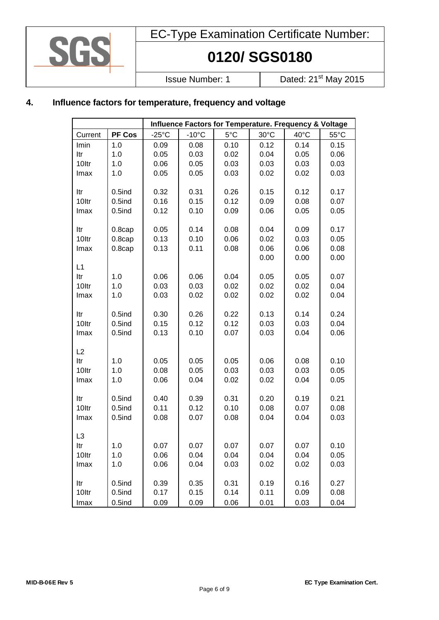

# **0120/ SGS0180**

Issue Number: 1 Dated: 21<sup>st</sup> May 2015

### **4. Influence factors for temperature, frequency and voltage**

|         |           | Influence Factors for Temperature. Frequency & Voltage |                 |      |      |      |                |
|---------|-----------|--------------------------------------------------------|-----------------|------|------|------|----------------|
| Current | PF Cos    | $-25^{\circ}$ C                                        | $-10^{\circ}$ C | 5°C  | 30°C | 40°C | $55^{\circ}$ C |
| Imin    | 1.0       | 0.09                                                   | 0.08            | 0.10 | 0.12 | 0.14 | 0.15           |
| Itr     | 1.0       | 0.05                                                   | 0.03            | 0.02 | 0.04 | 0.05 | 0.06           |
| 10ltr   | 1.0       | 0.06                                                   | 0.05            | 0.03 | 0.03 | 0.03 | 0.03           |
| Imax    | 1.0       | 0.05                                                   | 0.05            | 0.03 | 0.02 | 0.02 | 0.03           |
|         |           |                                                        |                 |      |      |      |                |
| ltr     | $0.5$ ind | 0.32                                                   | 0.31            | 0.26 | 0.15 | 0.12 | 0.17           |
| 10ltr   | $0.5$ ind | 0.16                                                   | 0.15            | 0.12 | 0.09 | 0.08 | 0.07           |
| Imax    | $0.5$ ind | 0.12                                                   | 0.10            | 0.09 | 0.06 | 0.05 | 0.05           |
|         |           |                                                        |                 |      |      |      |                |
| ltr     | $0.8$ cap | 0.05                                                   | 0.14            | 0.08 | 0.04 | 0.09 | 0.17           |
| 10ltr   | $0.8$ cap | 0.13                                                   | 0.10            | 0.06 | 0.02 | 0.03 | 0.05           |
| Imax    | $0.8$ cap | 0.13                                                   | 0.11            | 0.08 | 0.06 | 0.06 | 0.08           |
|         |           |                                                        |                 |      | 0.00 | 0.00 | 0.00           |
| L1      |           |                                                        |                 |      |      |      |                |
| ltr     | 1.0       | 0.06                                                   | 0.06            | 0.04 | 0.05 | 0.05 | 0.07           |
| 10ltr   | 1.0       | 0.03                                                   | 0.03            | 0.02 | 0.02 | 0.02 | 0.04           |
| Imax    | 1.0       | 0.03                                                   | 0.02            | 0.02 | 0.02 | 0.02 | 0.04           |
|         |           |                                                        |                 |      |      |      |                |
| ltr     | $0.5$ ind | 0.30                                                   | 0.26            | 0.22 | 0.13 | 0.14 | 0.24           |
| 10ltr   | $0.5$ ind | 0.15                                                   | 0.12            | 0.12 | 0.03 | 0.03 | 0.04           |
| Imax    | $0.5$ ind | 0.13                                                   | 0.10            | 0.07 | 0.03 | 0.04 | 0.06           |
|         |           |                                                        |                 |      |      |      |                |
| L2      |           |                                                        |                 |      |      |      |                |
| Itr     | 1.0       | 0.05                                                   | 0.05            | 0.05 | 0.06 | 0.08 | 0.10           |
| 10ltr   | 1.0       | 0.08                                                   | 0.05            | 0.03 | 0.03 | 0.03 | 0.05           |
| Imax    | 1.0       | 0.06                                                   | 0.04            | 0.02 | 0.02 | 0.04 | 0.05           |
|         |           |                                                        |                 |      |      |      |                |
| ltr     | $0.5$ ind | 0.40                                                   | 0.39            | 0.31 | 0.20 | 0.19 | 0.21           |
| 10ltr   | $0.5$ ind | 0.11                                                   | 0.12            | 0.10 | 0.08 | 0.07 | 0.08           |
| Imax    | $0.5$ ind | 0.08                                                   | 0.07            | 0.08 | 0.04 | 0.04 | 0.03           |
|         |           |                                                        |                 |      |      |      |                |
| L3      |           |                                                        |                 |      |      |      |                |
| ltr     | 1.0       | 0.07                                                   | 0.07            | 0.07 | 0.07 | 0.07 | 0.10           |
| 10ltr   | 1.0       | 0.06                                                   | 0.04            | 0.04 | 0.04 | 0.04 | 0.05           |
| Imax    | 1.0       | 0.06                                                   | 0.04            | 0.03 | 0.02 | 0.02 | 0.03           |
|         |           |                                                        |                 |      |      |      |                |
| ltr     | $0.5$ ind | 0.39                                                   | 0.35            | 0.31 | 0.19 | 0.16 | 0.27           |
| 10ltr   | $0.5$ ind | 0.17                                                   | 0.15            | 0.14 | 0.11 | 0.09 | 0.08           |
| Imax    | $0.5$ ind | 0.09                                                   | 0.09            | 0.06 | 0.01 | 0.03 | 0.04           |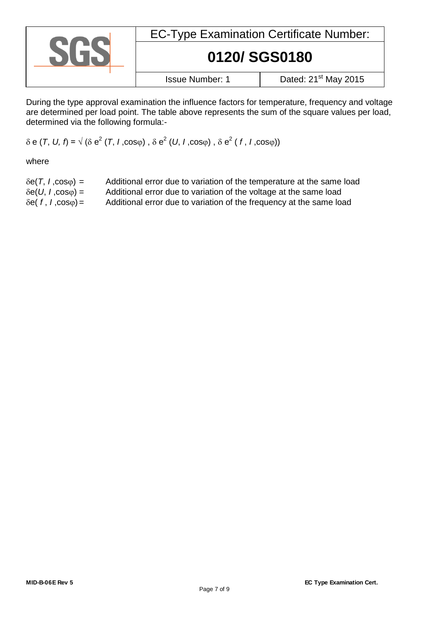| <b>EC-Type Examination Certificate Number:</b> |                                  |  |
|------------------------------------------------|----------------------------------|--|
| 0120/SGS0180                                   |                                  |  |
| <b>Issue Number: 1</b>                         | Dated: 21 <sup>st</sup> May 2015 |  |

During the type approval examination the influence factors for temperature, frequency and voltage are determined per load point. The table above represents the sum of the square values per load, determined via the following formula:-

### $\delta$  e  $(T, U, f)$  =  $\sqrt{( \delta e^2 (T, I, cos\varphi) , \delta e^2 (U, I, cos\varphi) , \delta e^2 (f, I, cos\varphi) )}$

where

| $\delta e(T, I, cos \varphi) =$  | Additional error due to variation of the temperature at the same load |
|----------------------------------|-----------------------------------------------------------------------|
| $\delta e(U, I, \cos \varphi) =$ | Additional error due to variation of the voltage at the same load     |
| $\delta e(f, I, cos \varphi) =$  | Additional error due to variation of the frequency at the same load   |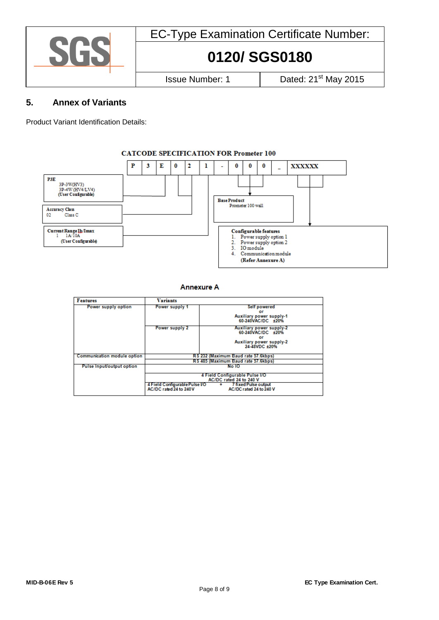

# **0120/ SGS0180**

Issue Number: 1 Dated: 21<sup>st</sup> May 2015

#### **5. Annex of Variants**

Product Variant Identification Details:

#### **CATCODE SPECIFICATION FOR Prometer 100**



**Annexure A** 

| <b>Features</b>                  | <b>Variants</b>                                                                                                      |                                     |  |
|----------------------------------|----------------------------------------------------------------------------------------------------------------------|-------------------------------------|--|
|                                  |                                                                                                                      |                                     |  |
| Power supply option              | Power supply 1                                                                                                       | Self powered                        |  |
|                                  |                                                                                                                      | or                                  |  |
|                                  |                                                                                                                      | Auxiliary power supply-1            |  |
|                                  |                                                                                                                      | 60-240VAC/DC ±20%                   |  |
|                                  | Power supply 2                                                                                                       | Auxiliary power supply-2            |  |
|                                  |                                                                                                                      | 60-240VAC/DC +20%                   |  |
|                                  |                                                                                                                      | or                                  |  |
|                                  |                                                                                                                      | Auxiliary power supply-2            |  |
|                                  |                                                                                                                      | 24-48VDC +20%                       |  |
|                                  |                                                                                                                      |                                     |  |
| Communication module option      | RS 232 (Maximum Baud rate 57.6kbps)                                                                                  |                                     |  |
|                                  |                                                                                                                      | RS 485 (Maximum Baud rate 57.6kbps) |  |
| <b>Pulse Input/output option</b> | No 10                                                                                                                |                                     |  |
|                                  | 4 Field Configurable Pulse I/O<br>AC/DC rated 24 to 240 V<br>4 Field Configurable Pulse VO<br>+ 7 fixed Pulse output |                                     |  |
|                                  |                                                                                                                      |                                     |  |
|                                  |                                                                                                                      |                                     |  |
|                                  | AC/DC rated 24 to 240V                                                                                               | AC/DC rated 24 to 240 V             |  |